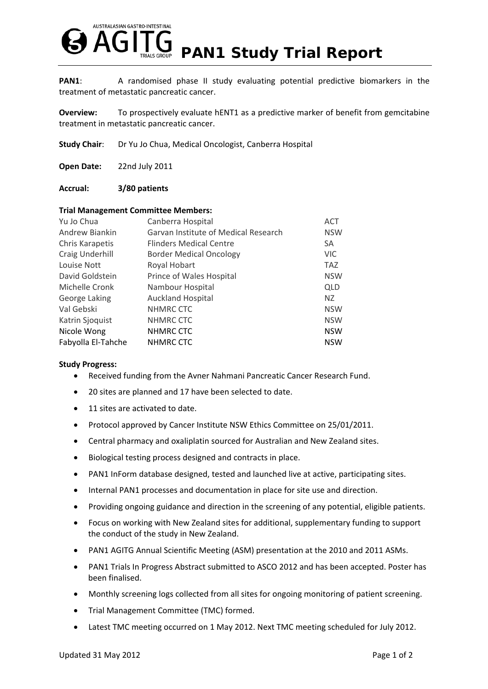

**PAN1**: A randomised phase II study evaluating potential predictive biomarkers in the treatment of metastatic pancreatic cancer.

**Overview:** To prospectively evaluate hENT1 as a predictive marker of benefit from gemcitabine treatment in metastatic pancreatic cancer.

**Study Chair**: Dr Yu Jo Chua, Medical Oncologist, Canberra Hospital

**Open Date:** 22nd July 2011

## **Accrual: 3/80 patients**

## **Trial Management Committee Members:**

| Yu Jo Chua         | Canberra Hospital                    | <b>ACT</b> |
|--------------------|--------------------------------------|------------|
| Andrew Biankin     | Garvan Institute of Medical Research | <b>NSW</b> |
| Chris Karapetis    | <b>Flinders Medical Centre</b>       | <b>SA</b>  |
| Craig Underhill    | <b>Border Medical Oncology</b>       | <b>VIC</b> |
| Louise Nott        | Royal Hobart                         | <b>TAZ</b> |
| David Goldstein    | Prince of Wales Hospital             | <b>NSW</b> |
| Michelle Cronk     | Nambour Hospital                     | QLD        |
| George Laking      | <b>Auckland Hospital</b>             | NZ.        |
| Val Gebski         | NHMRC CTC                            | <b>NSW</b> |
| Katrin Sjoquist    | NHMRC CTC                            | <b>NSW</b> |
| Nicole Wong        | NHMRC CTC                            | <b>NSW</b> |
| Fabyolla El-Tahche | NHMRC CTC                            | <b>NSW</b> |

## **Study Progress:**

- Received funding from the Avner Nahmani Pancreatic Cancer Research Fund.
- 20 sites are planned and 17 have been selected to date.
- 11 sites are activated to date.
- Protocol approved by Cancer Institute NSW Ethics Committee on 25/01/2011.
- Central pharmacy and oxaliplatin sourced for Australian and New Zealand sites.
- Biological testing process designed and contracts in place.
- PAN1 InForm database designed, tested and launched live at active, participating sites.
- Internal PAN1 processes and documentation in place for site use and direction.
- Providing ongoing guidance and direction in the screening of any potential, eligible patients.
- Focus on working with New Zealand sites for additional, supplementary funding to support the conduct of the study in New Zealand.
- PAN1 AGITG Annual Scientific Meeting (ASM) presentation at the 2010 and 2011 ASMs.
- PAN1 Trials In Progress Abstract submitted to ASCO 2012 and has been accepted. Poster has been finalised.
- Monthly screening logs collected from all sites for ongoing monitoring of patient screening.
- Trial Management Committee (TMC) formed.
- Latest TMC meeting occurred on 1 May 2012. Next TMC meeting scheduled for July 2012.